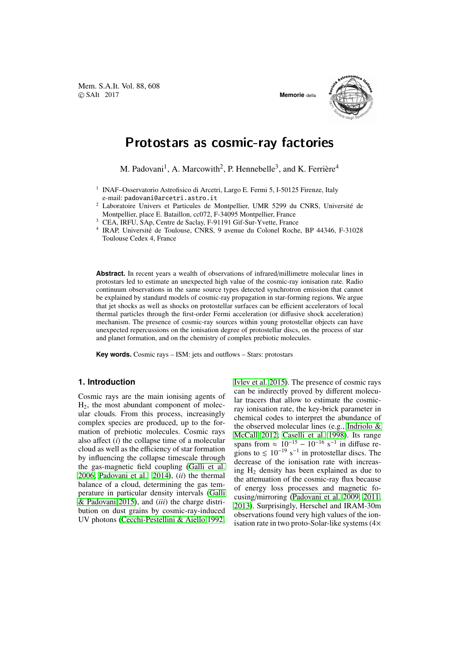

# Protostars as cosmic-ray factories

M. Padovani<sup>1</sup>, A. Marcowith<sup>2</sup>, P. Hennebelle<sup>3</sup>, and K. Ferrière<sup>4</sup>

- <sup>2</sup> Laboratoire Univers et Particules de Montpellier, UMR 5299 du CNRS, Universite de ´ Montpellier, place E. Bataillon, cc072, F-34095 Montpellier, France
- <sup>3</sup> CEA, IRFU, SAp, Centre de Saclay, F-91191 Gif-Sur-Yvette, France
- <sup>4</sup> IRAP, Université de Toulouse, CNRS, 9 avenue du Colonel Roche, BP 44346, F-31028 Toulouse Cedex 4, France

**Abstract.** In recent years a wealth of observations of infrared/millimetre molecular lines in protostars led to estimate an unexpected high value of the cosmic-ray ionisation rate. Radio continuum observations in the same source types detected synchrotron emission that cannot be explained by standard models of cosmic-ray propagation in star-forming regions. We argue that jet shocks as well as shocks on protostellar surfaces can be efficient accelerators of local thermal particles through the first-order Fermi acceleration (or diffusive shock acceleration) mechanism. The presence of cosmic-ray sources within young protostellar objects can have unexpected repercussions on the ionisation degree of protostellar discs, on the process of star and planet formation, and on the chemistry of complex prebiotic molecules.

**Key words.** Cosmic rays – ISM: jets and outflows – Stars: protostars

### **1. Introduction**

Cosmic rays are the main ionising agents of H2, the most abundant component of molecular clouds. From this process, increasingly complex species are produced, up to the formation of prebiotic molecules. Cosmic rays also affect (*i*) the collapse time of a molecular cloud as well as the efficiency of star formation by influencing the collapse timescale through the gas-magnetic field coupling (Galli et al. 2006; Padovani et al. 2014), (*ii*) the thermal balance of a cloud, determining the gas temperature in particular density intervals (Galli & Padovani 2015), and (*iii*) the charge distri[bution on dust grains by co](#page-2-0)smic-[ray-induced](#page-2-0) UV photons (Cecchi-Pestellini & Aiello 1992; Ivlev et al. 2015). The presence of cosmic rays can be indirectly proved by different molecular tracers that allow to estimate the cosmicray ionisation rate, the key-brick parameter in [chemical codes](#page-2-0) to interpret the abundance of the observed molecular lines (e.g., Indriolo & McCall 2012; Caselli et al. 1998). Its range spans from  $\approx 10^{-15} - 10^{-16}$  s<sup>-1</sup> in diffuse regions to  $\leq 10^{-19}$  s<sup>-1</sup> in protostellar discs. The decrease of the ionisation rate w[ith increas](#page-2-0)ing  $H_2$  [density has been explained](#page-2-0) as due to [the atten](#page-2-0)uation of the cosmic-ray flux because of energy loss processes and magnetic focusing/mirroring (Padovani et al. 2009, 2011, 2013). Surprisingly, Herschel and IRAM-30m observations found very high values of the ionisation rate in two proto-Solar-like systems (4×

<sup>&</sup>lt;sup>1</sup> INAF-Osservatorio Astrofisico di Arcetri, Largo E. Fermi 5, I-50125 Firenze, Italy e-mail: padovani@arcetri.astro.it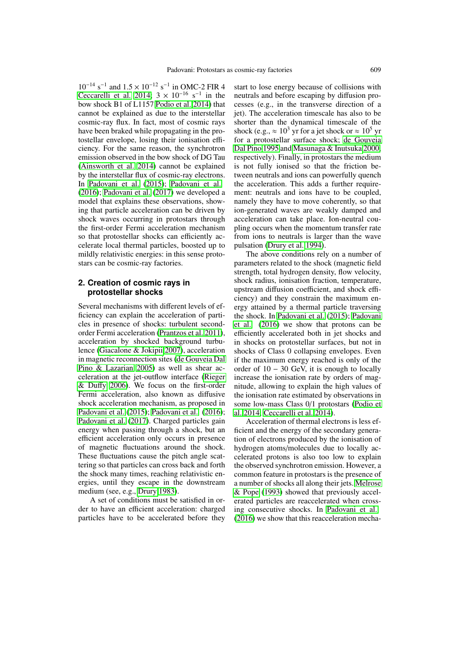$10^{-14}$  s<sup>-1</sup> and  $1.5 \times 10^{-12}$  s<sup>-1</sup> in OMC-2 FIR 4 Ceccarelli et al. 2014;  $3 \times 10^{-16}$  s<sup>-1</sup> in the bow shock B1 of L1157 Podio et al. 2014) that cannot be explained as due to the interstellar cosmic-ray flux. In fact, most of cosmic rays [have been braked while](#page-2-0) propagating in the protostellar envelope, losin[g their ionisation](#page-2-0) efficiency. For the same reason, the synchrotron emission observed in the bow shock of DG Tau (Ainsworth et al. 2014) cannot be explained by the interstellar flux of cosmic-ray electrons. In Padovani et al. (2015); Padovani et al. (2016); Padovani et al. (2017) we developed a [model that explains thes](#page-2-0)e observations, showing that particle acceleration can be driven by sh[ock waves occur](#page-2-0)r[ing in](#page-2-0) p[rotostars through](#page-2-0) [the fir](#page-2-0)s[t-order Fermi accelera](#page-2-0)tion mechanism so that protostellar shocks can efficiently accelerate local thermal particles, boosted up to mildly relativistic energies: in this sense protostars can be cosmic-ray factories.

## **2. Creation of cosmic rays in protostellar shocks**

Several mechanisms with different levels of efficiency can explain the acceleration of particles in presence of shocks: turbulent secondorder Fermi acceleration (Prantzos et al. 2011), acceleration by shocked background turbulence (Giacalone & Jokipii 2007), acceleration in magnetic reconnection sites (de Gouveia Dal Pino & Lazarian 2005) [as well as shear ac](#page-2-0)celeration at the jet-outflow interface (Rieger & Duffy 2006). We focu[s on t](#page-2-0)he first-order Fermi [acceleration, also k](#page-2-0)nown as diffusive [shock acceleration mech](#page-2-0)anism[, as proposed in](#page-2-0) Padovani et al. (2015); Padovani et al. (2016); Padovani [et al.](#page-2-0) (2017). Charged particl[es gain](#page-2-0) [energy w](#page-2-0)hen passing through a shock, but an efficient acceleration only occurs in presence of magnetic fluctuations around the shock. [These fluctuations ca](#page-2-0)u[se the pitch angle scat](#page-2-0)[tering so that particles](#page-2-0) can cross back and forth the shock many times, reaching relativistic energies, until they escape in the downstream medium (see, e.g., Drury 1983).

A set of conditions must be satisfied in order to have an efficient acceleration: charged particles have to be accelerated before they

start to lose energy because of collisions with neutrals and before escaping by diffusion processes (e.g., in the transverse direction of a jet). The acceleration timescale has also to be shorter than the dynamical timescale of the shock (e.g.,  $\approx 10^3$  yr for a jet shock or  $\approx 10^5$  yr for a protostellar surface shock; de Gouveia Dal Pino 1995 and Masunaga & Inutsuka 2000, respectively). Finally, in protostars the medium is not fully ionised so that the friction between neutrals and ions can power[fully quench](#page-2-0) [the acceleratio](#page-2-0)n. This adds a further re[quire](#page-2-0)ment: neutrals an[d ions have to be cou](#page-2-0)pled, namely they have to move coherently, so that ion-generated waves are weakly damped and acceleration can take place. Ion-neutral coupling occurs when the momentum transfer rate from ions to neutrals is larger than the wave pulsation (Drury et al. 1994).

The above conditions rely on a number of parameters related to the shock (magnetic field strength, total hydrogen density, flow velocity, shock rad[ius, ionisation frac](#page-2-0)tion, temperature, upstream diffusion coefficient, and shock efficiency) and they constrain the maximum energy attained by a thermal particle traversing the shock. In Padovani et al. (2015); Padovani et al. (2016) we show that protons can be efficiently accelerated both in jet shocks and in shocks on protostellar surfaces, but not in shocks of Cl[ass 0 collapsing envelopes. Even](#page-2-0) [if the](#page-2-0) m[aximu](#page-2-0)m energy reached is only of the order of  $10 - 30$  GeV, it is enough to locally increase the ionisation rate by orders of magnitude, allowing to explain the high values of the ionisation rate estimated by observations in some low-mass Class 0/1 protostars (Podio et al. 2014; Ceccarelli et al. 2014).

Acceleration of thermal electrons is less efficient and the energy of the secondary generation of electrons produced by the ioni[sation of](#page-2-0) [hydrogen](#page-2-0) atoms/molecul[es due](#page-2-0) to locally accelerated [protons is also](#page-2-0) too low to explain the observed synchrotron emission. However, a common feature in protostars is the presence of a number of shocks all along their jets. Melrose & Pope (1993) showed that previously accelerated particles are reaccelerated when crossing consecutive shocks. In Padovani et al. (2016) we show that this reacceleratio[n mecha-](#page-2-0)